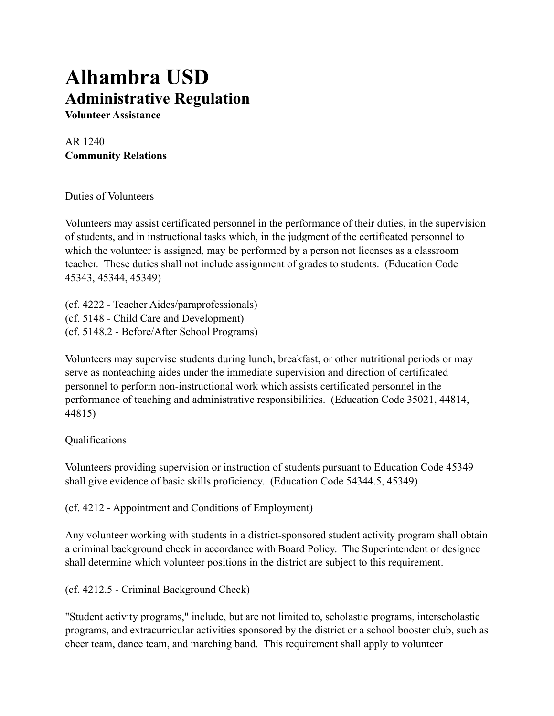## **Alhambra USD Administrative Regulation**

**Volunteer Assistance**

AR 1240 **Community Relations**

Duties of Volunteers

Volunteers may assist certificated personnel in the performance of their duties, in the supervision of students, and in instructional tasks which, in the judgment of the certificated personnel to which the volunteer is assigned, may be performed by a person not licenses as a classroom teacher. These duties shall not include assignment of grades to students. (Education Code 45343, 45344, 45349)

(cf. 4222 - Teacher Aides/paraprofessionals) (cf. 5148 - Child Care and Development) (cf. 5148.2 - Before/After School Programs)

Volunteers may supervise students during lunch, breakfast, or other nutritional periods or may serve as nonteaching aides under the immediate supervision and direction of certificated personnel to perform non-instructional work which assists certificated personnel in the performance of teaching and administrative responsibilities. (Education Code 35021, 44814, 44815)

## Qualifications

Volunteers providing supervision or instruction of students pursuant to Education Code 45349 shall give evidence of basic skills proficiency. (Education Code 54344.5, 45349)

(cf. 4212 - Appointment and Conditions of Employment)

Any volunteer working with students in a district-sponsored student activity program shall obtain a criminal background check in accordance with Board Policy. The Superintendent or designee shall determine which volunteer positions in the district are subject to this requirement.

(cf. 4212.5 - Criminal Background Check)

"Student activity programs," include, but are not limited to, scholastic programs, interscholastic programs, and extracurricular activities sponsored by the district or a school booster club, such as cheer team, dance team, and marching band. This requirement shall apply to volunteer